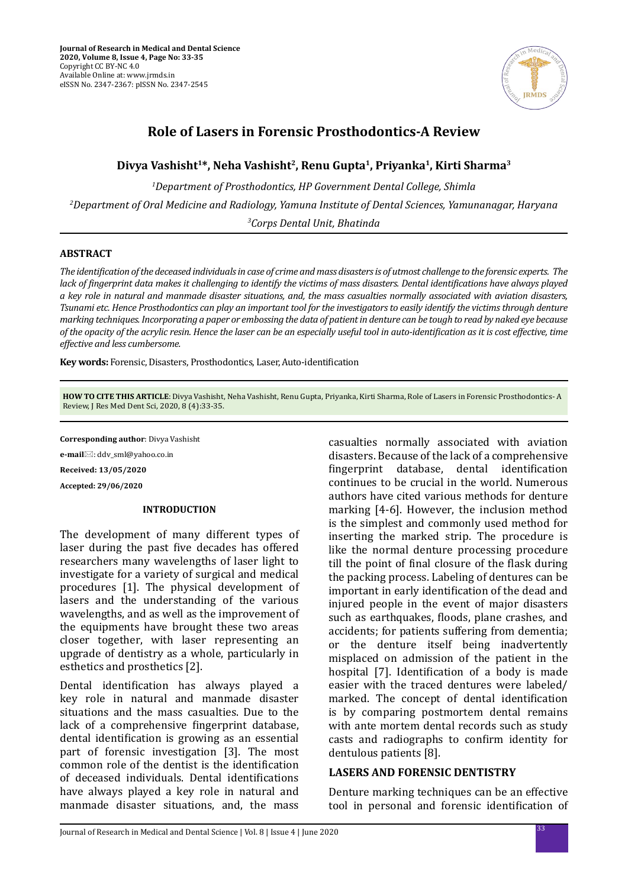

# **Role of Lasers in Forensic Prosthodontics-A Review**

# **Divya Vashisht1\*, Neha Vashisht2, Renu Gupta1, Priyanka1, Kirti Sharma3**

*1 Department of Prosthodontics, HP Government Dental College, Shimla 2 Department of Oral Medicine and Radiology, Yamuna Institute of Dental Sciences, Yamunanagar, Haryana 3 Corps Dental Unit, Bhatinda*

## **ABSTRACT**

*The identification of the deceased individuals in case of crime and mass disasters is of utmost challenge to the forensic experts. The lack of fingerprint data makes it challenging to identify the victims of mass disasters. Dental identifications have always played a key role in natural and manmade disaster situations, and, the mass casualties normally associated with aviation disasters, Tsunami etc. Hence Prosthodontics can play an important tool for the investigators to easily identify the victims through denture marking techniques. Incorporating a paper or embossing the data of patient in denture can be tough to read by naked eye because of the opacity of the acrylic resin. Hence the laser can be an especially useful tool in auto-identification as it is cost effective, time effective and less cumbersome.*

**Key words:** Forensic, Disasters, Prosthodontics, Laser, Auto-identification

**HOW TO CITE THIS ARTICLE**: Divya Vashisht, Neha Vashisht, Renu Gupta, Priyanka, Kirti Sharma, Role of Lasers in Forensic Prosthodontics- A Review, J Res Med Dent Sci, 2020, 8 (4):33-35.

**Corresponding author**: Divya Vashisht

**e-mail**⊠: ddv\_sml@yahoo.co.in

**Received: 13/05/2020**

**Accepted: 29/06/2020**

## **INTRODUCTION**

The development of many different types of laser during the past five decades has offered researchers many wavelengths of laser light to investigate for a variety of surgical and medical procedures [1]. The physical development of lasers and the understanding of the various wavelengths, and as well as the improvement of the equipments have brought these two areas closer together, with laser representing an upgrade of dentistry as a whole, particularly in esthetics and prosthetics [2].

Dental identification has always played a key role in natural and manmade disaster situations and the mass casualties. Due to the lack of a comprehensive fingerprint database, dental identification is growing as an essential part of forensic investigation [3]. The most common role of the dentist is the identification of deceased individuals. Dental identifications have always played a key role in natural and manmade disaster situations, and, the mass casualties normally associated with aviation disasters. Because of the lack of a comprehensive fingerprint database, dental identification continues to be crucial in the world. Numerous authors have cited various methods for denture marking [4-6]. However, the inclusion method is the simplest and commonly used method for inserting the marked strip. The procedure is like the normal denture processing procedure till the point of final closure of the flask during the packing process. Labeling of dentures can be important in early identification of the dead and injured people in the event of major disasters such as earthquakes, floods, plane crashes, and accidents; for patients suffering from dementia; or the denture itself being inadvertently misplaced on admission of the patient in the hospital [7]. Identification of a body is made easier with the traced dentures were labeled/ marked. The concept of dental identification is by comparing postmortem dental remains with ante mortem dental records such as study casts and radiographs to confirm identity for dentulous patients [8].

# **LASERS AND FORENSIC DENTISTRY**

Denture marking techniques can be an effective tool in personal and forensic identification of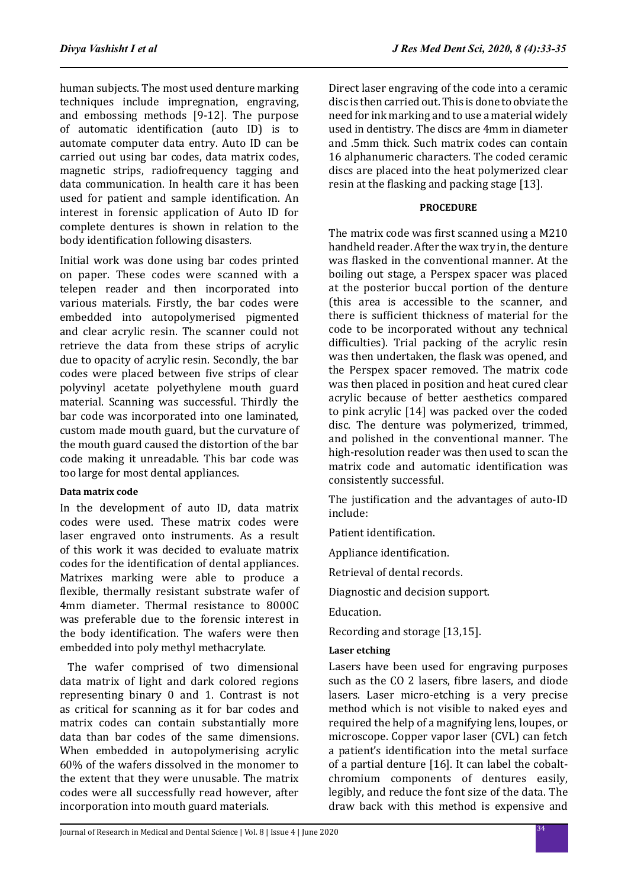human subjects. The most used denture marking techniques include impregnation, engraving, and embossing methods [9-12]. The purpose of automatic identification (auto ID) is to automate computer data entry. Auto ID can be carried out using bar codes, data matrix codes, magnetic strips, radiofrequency tagging and data communication. In health care it has been used for patient and sample identification. An interest in forensic application of Auto ID for complete dentures is shown in relation to the body identification following disasters.

Initial work was done using bar codes printed on paper. These codes were scanned with a telepen reader and then incorporated into various materials. Firstly, the bar codes were embedded into autopolymerised pigmented and clear acrylic resin. The scanner could not retrieve the data from these strips of acrylic due to opacity of acrylic resin. Secondly, the bar codes were placed between five strips of clear polyvinyl acetate polyethylene mouth guard material. Scanning was successful. Thirdly the bar code was incorporated into one laminated, custom made mouth guard, but the curvature of the mouth guard caused the distortion of the bar code making it unreadable. This bar code was too large for most dental appliances.

## **Data matrix code**

In the development of auto ID, data matrix codes were used. These matrix codes were laser engraved onto instruments. As a result of this work it was decided to evaluate matrix codes for the identification of dental appliances. Matrixes marking were able to produce a flexible, thermally resistant substrate wafer of 4mm diameter. Thermal resistance to 8000C was preferable due to the forensic interest in the body identification. The wafers were then embedded into poly methyl methacrylate.

 The wafer comprised of two dimensional data matrix of light and dark colored regions representing binary 0 and 1. Contrast is not as critical for scanning as it for bar codes and matrix codes can contain substantially more data than bar codes of the same dimensions. When embedded in autopolymerising acrylic 60% of the wafers dissolved in the monomer to the extent that they were unusable. The matrix codes were all successfully read however, after incorporation into mouth guard materials.

Direct laser engraving of the code into a ceramic disc is then carried out. This is done to obviate the need for ink marking and to use a material widely used in dentistry. The discs are 4mm in diameter and .5mm thick. Such matrix codes can contain 16 alphanumeric characters. The coded ceramic discs are placed into the heat polymerized clear resin at the flasking and packing stage [13].

## **PROCEDURE**

The matrix code was first scanned using a M210 handheld reader. After the wax try in, the denture was flasked in the conventional manner. At the boiling out stage, a Perspex spacer was placed at the posterior buccal portion of the denture (this area is accessible to the scanner, and there is sufficient thickness of material for the code to be incorporated without any technical difficulties). Trial packing of the acrylic resin was then undertaken, the flask was opened, and the Perspex spacer removed. The matrix code was then placed in position and heat cured clear acrylic because of better aesthetics compared to pink acrylic [14] was packed over the coded disc. The denture was polymerized, trimmed, and polished in the conventional manner. The high-resolution reader was then used to scan the matrix code and automatic identification was consistently successful.

The justification and the advantages of auto-ID include:

Patient identification.

Appliance identification.

Retrieval of dental records.

Diagnostic and decision support.

Education.

Recording and storage [13,15].

# **Laser etching**

Lasers have been used for engraving purposes such as the CO 2 lasers, fibre lasers, and diode lasers. Laser micro-etching is a very precise method which is not visible to naked eyes and required the help of a magnifying lens, loupes, or microscope. Copper vapor laser (CVL) can fetch a patient's identification into the metal surface of a partial denture [16]. It can label the cobaltchromium components of dentures easily, legibly, and reduce the font size of the data. The draw back with this method is expensive and